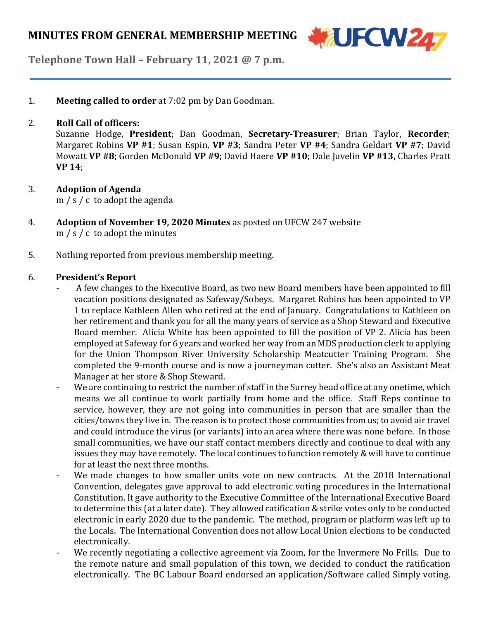

**Telephone Town Hall – February 11, 2021 @ 7 p.m.**

1. **Meeting called to order** at 7:02 pm by Dan Goodman.

#### 2. **Roll Call of officers:**

Suzanne Hodge, **President**; Dan Goodman, **Secretary-Treasurer**; Brian Taylor, **Recorder**; Margaret Robins **VP #1**; Susan Espin, **VP #3**; Sandra Peter **VP #4**; Sandra Geldart **VP #7**; David Mowatt **VP #8**; Gorden McDonald **VP #9**; David Haere **VP #10**; Dale Juvelin **VP #13,** Charles Pratt **VP 14**;

3. **Adoption of Agenda**

m / s / c to adopt the agenda

- 4. **Adoption of November 19, 2020 Minutes** as posted on UFCW 247 website m / s / c to adopt the minutes
- 5. Nothing reported from previous membership meeting.

#### 6. **President's Report**

- A few changes to the Executive Board, as two new Board members have been appointed to fill vacation positions designated as Safeway/Sobeys. Margaret Robins has been appointed to VP 1 to replace Kathleen Allen who retired at the end of January. Congratulations to Kathleen on her retirement and thank you for all the many years of service as a Shop Steward and Executive Board member. Alicia White has been appointed to fill the position of VP 2. Alicia has been employed at Safeway for 6 years and worked her way from an MDS production clerk to applying for the Union Thompson River University Scholarship Meatcutter Training Program. She completed the 9-month course and is now a journeyman cutter. She's also an Assistant Meat Manager at her store & Shop Steward.
- We are continuing to restrict the number of staff in the Surrey head office at any onetime, which means we all continue to work partially from home and the office. Staff Reps continue to service, however, they are not going into communities in person that are smaller than the cities/towns they live in. The reason is to protect those communities from us;to avoid air travel and could introduce the virus (or variants) into an area where there was none before. In those small communities, we have our staff contact members directly and continue to deal with any issues they may have remotely. The local continues to function remotely& will have to continue for at least the next three months.
- We made changes to how smaller units vote on new contracts. At the 2018 International Convention, delegates gave approval to add electronic voting procedures in the International Constitution. It gave authority to the Executive Committee of the International Executive Board to determine this (at a later date). They allowed ratification & strike votes only to be conducted electronic in early 2020 due to the pandemic. The method, program or platform was left up to the Locals. The International Convention does not allow Local Union elections to be conducted electronically.
- We recently negotiating a collective agreement via Zoom, for the Invermere No Frills. Due to the remote nature and small population of this town, we decided to conduct the ratification electronically. The BC Labour Board endorsed an application/Software called Simply voting.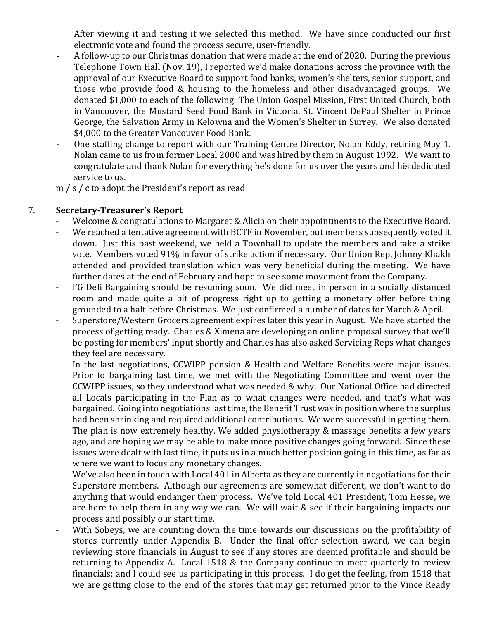After viewing it and testing it we selected this method. We have since conducted our first electronic vote and found the process secure, user-friendly.

- A follow-up to our Christmas donation that were made at the end of 2020. During the previous Telephone Town Hall (Nov. 19), I reported we'd make donations across the province with the approval of our Executive Board to support food banks, women's shelters, senior support, and those who provide food & housing to the homeless and other disadvantaged groups. We donated \$1,000 to each of the following: The Union Gospel Mission, First United Church, both in Vancouver, the Mustard Seed Food Bank in Victoria, St. Vincent DePaul Shelter in Prince George, the Salvation Army in Kelowna and the Women's Shelter in Surrey. We also donated \$4,000 to the Greater Vancouver Food Bank.
- One staffing change to report with our Training Centre Director, Nolan Eddy, retiring May 1. Nolan came to us from former Local 2000 and was hired by them in August 1992. We want to congratulate and thank Nolan for everything he's done for us over the years and his dedicated service to us.

m / s / c to adopt the President's report as read

#### 7. **Secretary-Treasurer's Report**

- Welcome & congratulations to Margaret & Alicia on their appointments to the Executive Board.
- We reached a tentative agreement with BCTF in November, but members subsequently voted it down. Just this past weekend, we held a Townhall to update the members and take a strike vote. Members voted 91% in favor of strike action if necessary. Our Union Rep, Johnny Khakh attended and provided translation which was very beneficial during the meeting. We have further dates at the end of February and hope to see some movement from the Company.
- FG Deli Bargaining should be resuming soon. We did meet in person in a socially distanced room and made quite a bit of progress right up to getting a monetary offer before thing grounded to a halt before Christmas. We just confirmed a number of dates for March & April.
- Superstore/Western Grocers agreement expires later this year in August. We have started the process of getting ready. Charles & Ximena are developing an online proposal survey that we'll be posting for members' input shortly and Charles has also asked Servicing Reps what changes they feel are necessary.
- In the last negotiations, CCWIPP pension & Health and Welfare Benefits were major issues. Prior to bargaining last time, we met with the Negotiating Committee and went over the CCWIPP issues, so they understood what was needed & why. Our National Office had directed all Locals participating in the Plan as to what changes were needed, and that's what was bargained. Going into negotiations last time, the Benefit Trust was in position where the surplus had been shrinking and required additional contributions. We were successful in getting them. The plan is now extremely healthy. We added physiotherapy & massage benefits a few years ago, and are hoping we may be able to make more positive changes going forward. Since these issues were dealt with last time, it puts us in a much better position going in this time, as far as where we want to focus any monetary changes.
- We've also been in touch with Local 401 in Alberta as they are currently in negotiations for their Superstore members. Although our agreements are somewhat different, we don't want to do anything that would endanger their process. We've told Local 401 President, Tom Hesse, we are here to help them in any way we can. We will wait & see if their bargaining impacts our process and possibly our start time.
- With Sobeys, we are counting down the time towards our discussions on the profitability of stores currently under Appendix B. Under the final offer selection award, we can begin reviewing store financials in August to see if any stores are deemed profitable and should be returning to Appendix A. Local 1518 & the Company continue to meet quarterly to review financials; and I could see us participating in this process. I do get the feeling, from 1518 that we are getting close to the end of the stores that may get returned prior to the Vince Ready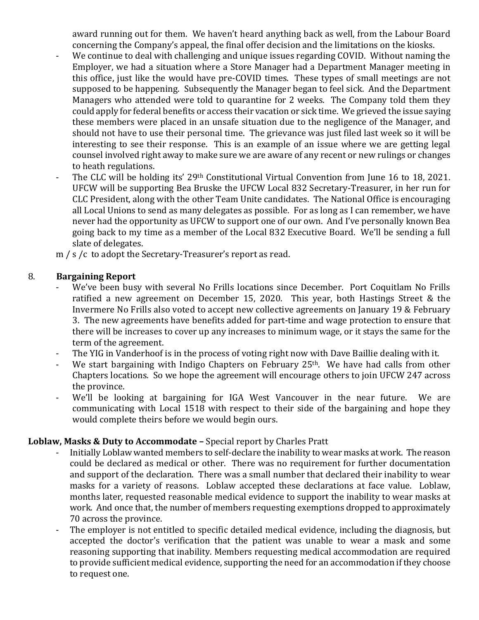award running out for them. We haven't heard anything back as well, from the Labour Board concerning the Company's appeal, the final offer decision and the limitations on the kiosks.

- We continue to deal with challenging and unique issues regarding COVID. Without naming the Employer, we had a situation where a Store Manager had a Department Manager meeting in this office, just like the would have pre-COVID times. These types of small meetings are not supposed to be happening. Subsequently the Manager began to feel sick. And the Department Managers who attended were told to quarantine for 2 weeks. The Company told them they could apply for federal benefits or access their vacation or sick time. We grieved the issue saying these members were placed in an unsafe situation due to the negligence of the Manager, and should not have to use their personal time. The grievance was just filed last week so it will be interesting to see their response. This is an example of an issue where we are getting legal counsel involved right away to make sure we are aware of any recent or new rulings or changes to heath regulations.
- The CLC will be holding its' 29<sup>th</sup> Constitutional Virtual Convention from June 16 to 18, 2021. UFCW will be supporting Bea Bruske the UFCW Local 832 Secretary-Treasurer, in her run for CLC President, along with the other Team Unite candidates. The National Office is encouraging all Local Unions to send as many delegates as possible. For as long as I can remember, we have never had the opportunity as UFCW to support one of our own. And I've personally known Bea going back to my time as a member of the Local 832 Executive Board. We'll be sending a full slate of delegates.
- m / s /c to adopt the Secretary-Treasurer's report as read.

## 8. **Bargaining Report**

- We've been busy with several No Frills locations since December. Port Coquitlam No Frills ratified a new agreement on December 15, 2020. This year, both Hastings Street & the Invermere No Frills also voted to accept new collective agreements on January 19 & February 3. The new agreements have benefits added for part-time and wage protection to ensure that there will be increases to cover up any increases to minimum wage, or it stays the same for the term of the agreement.
- The YIG in Vanderhoof is in the process of voting right now with Dave Baillie dealing with it.
- We start bargaining with Indigo Chapters on February 25<sup>th</sup>. We have had calls from other Chapters locations. So we hope the agreement will encourage others to join UFCW 247 across the province.
- We'll be looking at bargaining for IGA West Vancouver in the near future. We are communicating with Local 1518 with respect to their side of the bargaining and hope they would complete theirs before we would begin ours.

## **Loblaw, Masks & Duty to Accommodate –** Special report by Charles Pratt

- Initially Loblaw wanted members to self-declare the inability to wear masks at work. The reason could be declared as medical or other. There was no requirement for further documentation and support of the declaration. There was a small number that declared their inability to wear masks for a variety of reasons. Loblaw accepted these declarations at face value. Loblaw, months later, requested reasonable medical evidence to support the inability to wear masks at work. And once that, the number of members requesting exemptions dropped to approximately 70 across the province.
- The employer is not entitled to specific detailed medical evidence, including the diagnosis, but accepted the doctor's verification that the patient was unable to wear a mask and some reasoning supporting that inability. Members requesting medical accommodation are required to provide sufficient medical evidence, supporting the need for an accommodation if they choose to request one.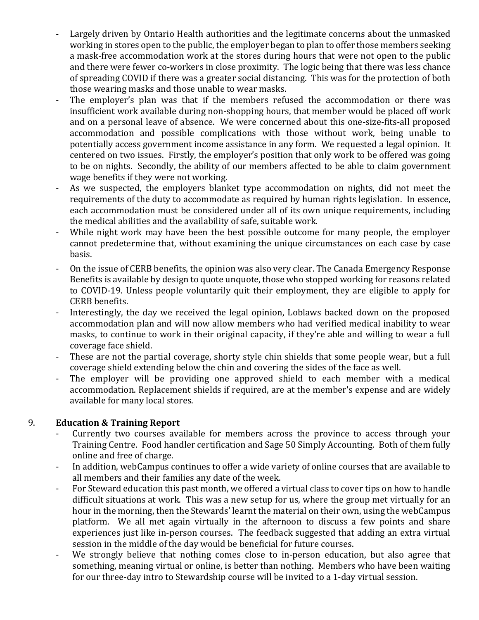- Largely driven by Ontario Health authorities and the legitimate concerns about the unmasked working in stores open to the public, the employer began to plan to offer those members seeking a mask-free accommodation work at the stores during hours that were not open to the public and there were fewer co-workers in close proximity. The logic being that there was less chance of spreading COVID if there was a greater social distancing. This was for the protection of both those wearing masks and those unable to wear masks.
- The employer's plan was that if the members refused the accommodation or there was insufficient work available during non-shopping hours, that member would be placed off work and on a personal leave of absence. We were concerned about this one-size-fits-all proposed accommodation and possible complications with those without work, being unable to potentially access government income assistance in any form. We requested a legal opinion. It centered on two issues. Firstly, the employer's position that only work to be offered was going to be on nights. Secondly, the ability of our members affected to be able to claim government wage benefits if they were not working.
- As we suspected, the employers blanket type accommodation on nights, did not meet the requirements of the duty to accommodate as required by human rights legislation. In essence, each accommodation must be considered under all of its own unique requirements, including the medical abilities and the availability of safe, suitable work.
- While night work may have been the best possible outcome for many people, the employer cannot predetermine that, without examining the unique circumstances on each case by case basis.
- On the issue of CERB benefits, the opinion was also very clear. The Canada Emergency Response Benefits is available by design to quote unquote, those who stopped working for reasons related to COVID-19. Unless people voluntarily quit their employment, they are eligible to apply for CERB benefits.
- Interestingly, the day we received the legal opinion, Loblaws backed down on the proposed accommodation plan and will now allow members who had verified medical inability to wear masks, to continue to work in their original capacity, if they're able and willing to wear a full coverage face shield.
- These are not the partial coverage, shorty style chin shields that some people wear, but a full coverage shield extending below the chin and covering the sides of the face as well.
- The employer will be providing one approved shield to each member with a medical accommodation. Replacement shields if required, are at the member's expense and are widely available for many local stores.

## 9. **Education & Training Report**

- Currently two courses available for members across the province to access through your Training Centre. Food handler certification and Sage 50 Simply Accounting. Both of them fully online and free of charge.
- In addition, webCampus continues to offer a wide variety of online courses that are available to all members and their families any date of the week.
- For Steward education this past month, we offered a virtual class to cover tips on how to handle difficult situations at work. This was a new setup for us, where the group met virtually for an hour in the morning, then the Stewards' learnt the material on their own, using the webCampus platform. We all met again virtually in the afternoon to discuss a few points and share experiences just like in-person courses. The feedback suggested that adding an extra virtual session in the middle of the day would be beneficial for future courses.
- We strongly believe that nothing comes close to in-person education, but also agree that something, meaning virtual or online, is better than nothing. Members who have been waiting for our three-day intro to Stewardship course will be invited to a 1-day virtual session.